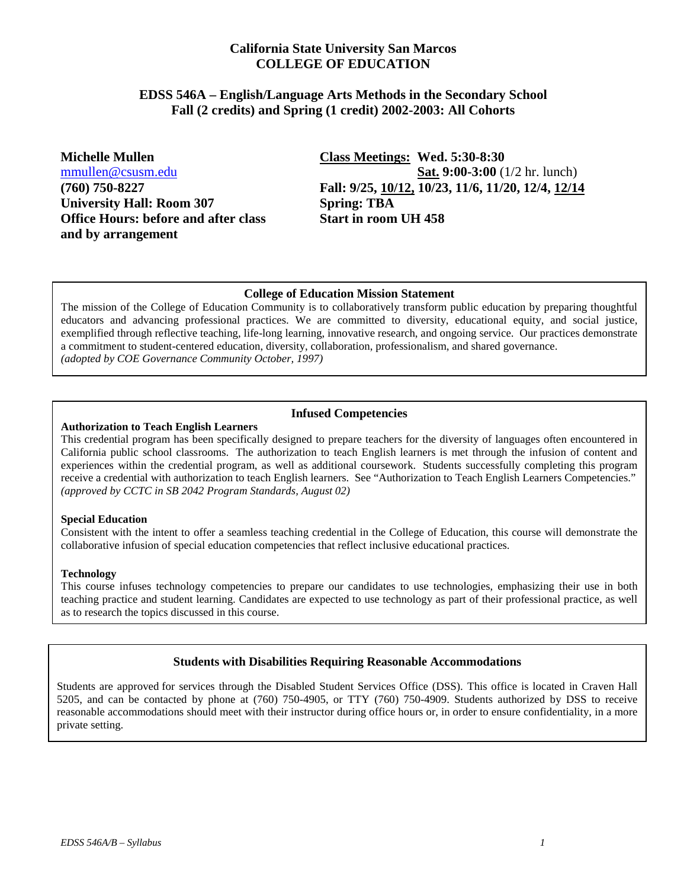## **California State University San Marcos COLLEGE OF EDUCATION**

#### **EDSS 546A – English/Language Arts Methods in the Secondary School Fall (2 credits) and Spring (1 credit) 2002-2003: All Cohorts**

**University Hall: Room 307 Spring: TBA Office Hours: before and after class Start in room UH 458 and by arrangement**

**Michelle Mullen Class Meetings: Wed. 5:30-8:30**  [mmullen@csusm.edu](mailto:mmullen@mailhost1.csusm.edu) **Sat. 9:00-3:00** (1/2 hr. lunch) **(760) 750-8227 Fall: 9/25, 10/12, 10/23, 11/6, 11/20, 12/4, 12/14**

#### **College of Education Mission Statement**

The mission of the College of Education Community is to collaboratively transform public education by preparing thoughtful educators and advancing professional practices. We are committed to diversity, educational equity, and social justice, exemplified through reflective teaching, life-long learning, innovative research, and ongoing service. Our practices demonstrate a commitment to student-centered education, diversity, collaboration, professionalism, and shared governance. *(adopted by COE Governance Community October, 1997)*

## **Infused Competencies**

#### **Authorization to Teach English Learners**

This credential program has been specifically designed to prepare teachers for the diversity of languages often encountered in California public school classrooms. The authorization to teach English learners is met through the infusion of content and experiences within the credential program, as well as additional coursework. Students successfully completing this program receive a credential with authorization to teach English learners. See "Authorization to Teach English Learners Competencies." *(approved by CCTC in SB 2042 Program Standards, August 02)* 

#### **Special Education**

Consistent with the intent to offer a seamless teaching credential in the College of Education, this course will demonstrate the collaborative infusion of special education competencies that reflect inclusive educational practices.

#### **Technology**

This course infuses technology competencies to prepare our candidates to use technologies, emphasizing their use in both teaching practice and student learning. Candidates are expected to use technology as part of their professional practice, as well as to research the topics discussed in this course.

#### **Students with Disabilities Requiring Reasonable Accommodations**

Students are approved for services through the Disabled Student Services Office (DSS). This office is located in Craven Hall 5205, and can be contacted by phone at (760) 750-4905, or TTY (760) 750-4909. Students authorized by DSS to receive reasonable accommodations should meet with their instructor during office hours or, in order to ensure confidentiality, in a more private setting.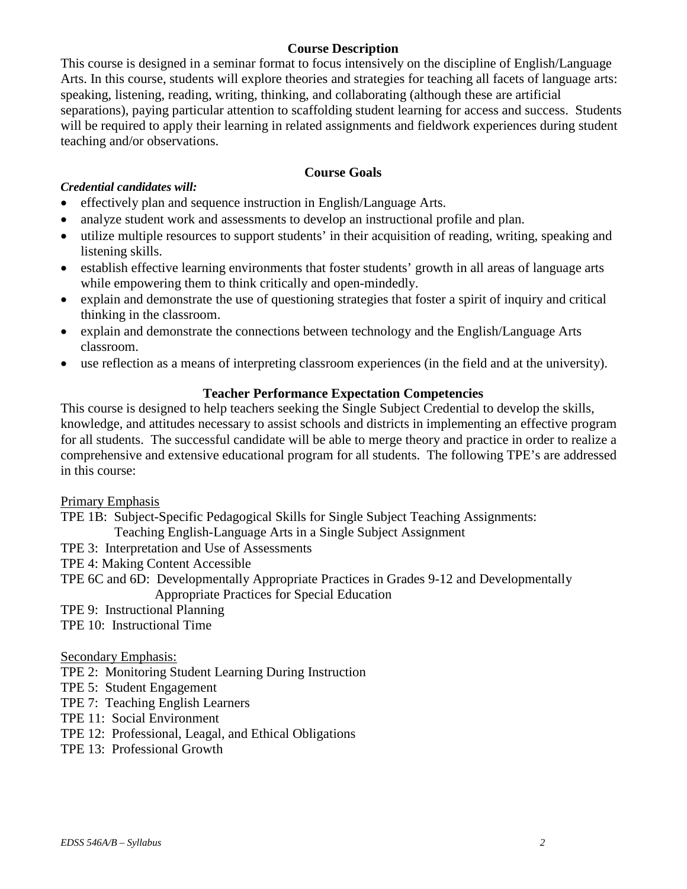## **Course Description**

This course is designed in a seminar format to focus intensively on the discipline of English/Language Arts. In this course, students will explore theories and strategies for teaching all facets of language arts: speaking, listening, reading, writing, thinking, and collaborating (although these are artificial separations), paying particular attention to scaffolding student learning for access and success. Students will be required to apply their learning in related assignments and fieldwork experiences during student teaching and/or observations.

## **Course Goals**

#### *Credential candidates will:*

- effectively plan and sequence instruction in English/Language Arts.
- analyze student work and assessments to develop an instructional profile and plan.
- utilize multiple resources to support students' in their acquisition of reading, writing, speaking and listening skills.
- establish effective learning environments that foster students' growth in all areas of language arts while empowering them to think critically and open-mindedly.
- explain and demonstrate the use of questioning strategies that foster a spirit of inquiry and critical thinking in the classroom.
- explain and demonstrate the connections between technology and the English/Language Arts classroom.
- use reflection as a means of interpreting classroom experiences (in the field and at the university).

## **Teacher Performance Expectation Competencies**

This course is designed to help teachers seeking the Single Subject Credential to develop the skills, knowledge, and attitudes necessary to assist schools and districts in implementing an effective program for all students. The successful candidate will be able to merge theory and practice in order to realize a comprehensive and extensive educational program for all students. The following TPE's are addressed in this course:

## Primary Emphasis

TPE 1B: Subject-Specific Pedagogical Skills for Single Subject Teaching Assignments:

Teaching English-Language Arts in a Single Subject Assignment

- TPE 3: Interpretation and Use of Assessments
- TPE 4: Making Content Accessible

TPE 6C and 6D: Developmentally Appropriate Practices in Grades 9-12 and Developmentally Appropriate Practices for Special Education

- TPE 9: Instructional Planning
- TPE 10: Instructional Time

#### Secondary Emphasis:

TPE 2: Monitoring Student Learning During Instruction

- TPE 5: Student Engagement
- TPE 7: Teaching English Learners
- TPE 11: Social Environment
- TPE 12: Professional, Leagal, and Ethical Obligations
- TPE 13: Professional Growth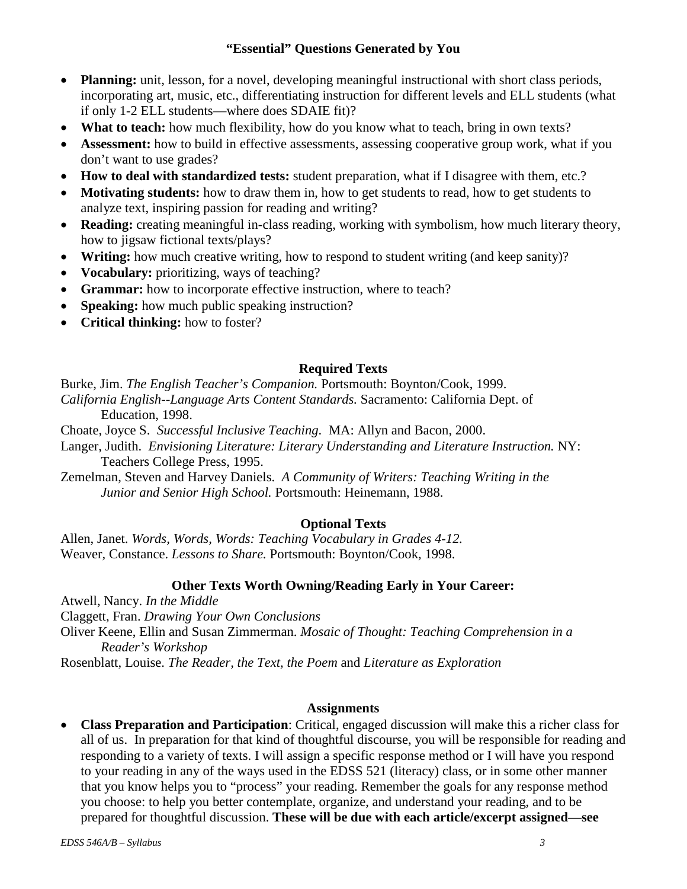## **"Essential" Questions Generated by You**

- **Planning:** unit, lesson, for a novel, developing meaningful instructional with short class periods, incorporating art, music, etc., differentiating instruction for different levels and ELL students (what if only 1-2 ELL students—where does SDAIE fit)?
- **What to teach:** how much flexibility, how do you know what to teach, bring in own texts?
- **Assessment:** how to build in effective assessments, assessing cooperative group work, what if you don't want to use grades?
- **How to deal with standardized tests:** student preparation, what if I disagree with them, etc.?
- **Motivating students:** how to draw them in, how to get students to read, how to get students to analyze text, inspiring passion for reading and writing?
- **Reading:** creating meaningful in-class reading, working with symbolism, how much literary theory, how to jigsaw fictional texts/plays?
- **Writing:** how much creative writing, how to respond to student writing (and keep sanity)?
- **Vocabulary:** prioritizing, ways of teaching?
- **Grammar:** how to incorporate effective instruction, where to teach?
- **Speaking:** how much public speaking instruction?
- **Critical thinking:** how to foster?

## **Required Texts**

Burke, Jim. *The English Teacher's Companion.* Portsmouth: Boynton/Cook, 1999.

- *California English--Language Arts Content Standards.* Sacramento: California Dept. of Education, 1998.
- Choate, Joyce S. *Successful Inclusive Teaching*. MA: Allyn and Bacon, 2000.
- Langer, Judith. *Envisioning Literature: Literary Understanding and Literature Instruction.* NY: Teachers College Press, 1995.
- Zemelman, Steven and Harvey Daniels. *A Community of Writers: Teaching Writing in the Junior and Senior High School.* Portsmouth: Heinemann, 1988.

# **Optional Texts**

Allen, Janet. *Words, Words, Words: Teaching Vocabulary in Grades 4-12.* Weaver, Constance. *Lessons to Share.* Portsmouth: Boynton/Cook, 1998.

## **Other Texts Worth Owning/Reading Early in Your Career:**

Atwell, Nancy. *In the Middle*

Claggett, Fran. *Drawing Your Own Conclusions* 

Oliver Keene, Ellin and Susan Zimmerman. *Mosaic of Thought: Teaching Comprehension in a Reader's Workshop*

Rosenblatt, Louise. *The Reader, the Text, the Poem* and *Literature as Exploration*

## **Assignments**

• **Class Preparation and Participation**: Critical, engaged discussion will make this a richer class for all of us. In preparation for that kind of thoughtful discourse, you will be responsible for reading and responding to a variety of texts. I will assign a specific response method or I will have you respond to your reading in any of the ways used in the EDSS 521 (literacy) class, or in some other manner that you know helps you to "process" your reading. Remember the goals for any response method you choose: to help you better contemplate, organize, and understand your reading, and to be prepared for thoughtful discussion. **These will be due with each article/excerpt assigned—see**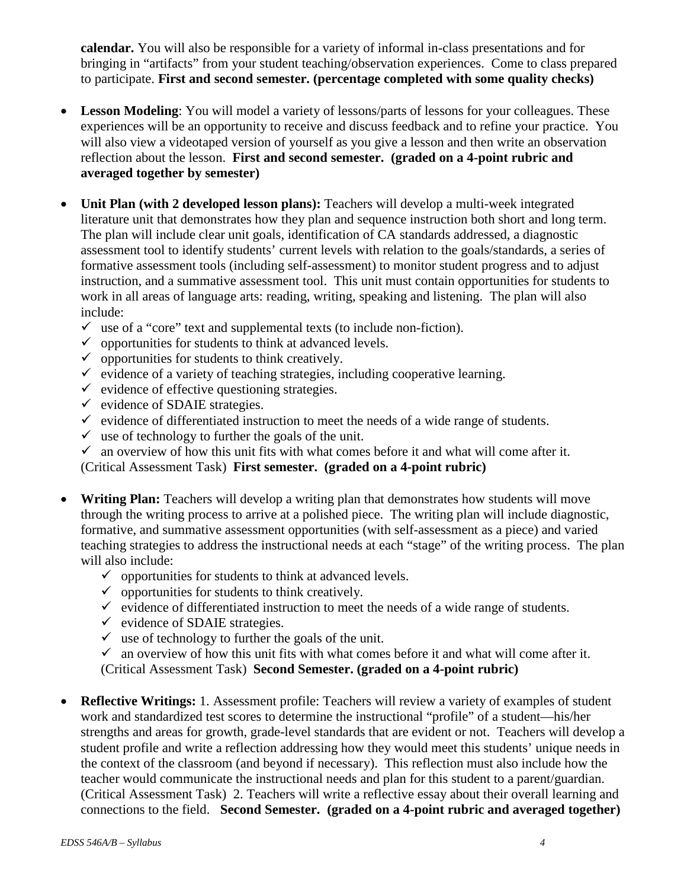**calendar.** You will also be responsible for a variety of informal in-class presentations and for bringing in "artifacts" from your student teaching/observation experiences. Come to class prepared to participate. **First and second semester. (percentage completed with some quality checks)**

- **Lesson Modeling**: You will model a variety of lessons/parts of lessons for your colleagues. These experiences will be an opportunity to receive and discuss feedback and to refine your practice. You will also view a videotaped version of yourself as you give a lesson and then write an observation reflection about the lesson. **First and second semester. (graded on a 4-point rubric and averaged together by semester)**
- **Unit Plan (with 2 developed lesson plans):** Teachers will develop a multi-week integrated literature unit that demonstrates how they plan and sequence instruction both short and long term. The plan will include clear unit goals, identification of CA standards addressed, a diagnostic assessment tool to identify students' current levels with relation to the goals/standards, a series of formative assessment tools (including self-assessment) to monitor student progress and to adjust instruction, and a summative assessment tool. This unit must contain opportunities for students to work in all areas of language arts: reading, writing, speaking and listening. The plan will also include:
	- $\checkmark$  use of a "core" text and supplemental texts (to include non-fiction).
	- $\checkmark$  opportunities for students to think at advanced levels.
	- $\checkmark$  opportunities for students to think creatively.
	- $\checkmark$  evidence of a variety of teaching strategies, including cooperative learning.
	- $\checkmark$  evidence of effective questioning strategies.
	- $\checkmark$  evidence of SDAIE strategies.
	- $\checkmark$  evidence of differentiated instruction to meet the needs of a wide range of students.
	- $\checkmark$  use of technology to further the goals of the unit.
	- $\checkmark$  an overview of how this unit fits with what comes before it and what will come after it.

(Critical Assessment Task) **First semester. (graded on a 4-point rubric)**

- **Writing Plan:** Teachers will develop a writing plan that demonstrates how students will move through the writing process to arrive at a polished piece. The writing plan will include diagnostic, formative, and summative assessment opportunities (with self-assessment as a piece) and varied teaching strategies to address the instructional needs at each "stage" of the writing process. The plan will also include:
	- $\checkmark$  opportunities for students to think at advanced levels.
	- $\checkmark$  opportunities for students to think creatively.
	- $\checkmark$  evidence of differentiated instruction to meet the needs of a wide range of students.
	- $\checkmark$  evidence of SDAIE strategies.
	- $\checkmark$  use of technology to further the goals of the unit.
	- $\checkmark$  an overview of how this unit fits with what comes before it and what will come after it. (Critical Assessment Task) **Second Semester. (graded on a 4-point rubric)**
- **Reflective Writings:** 1. Assessment profile: Teachers will review a variety of examples of student work and standardized test scores to determine the instructional "profile" of a student—his/her strengths and areas for growth, grade-level standards that are evident or not. Teachers will develop a student profile and write a reflection addressing how they would meet this students' unique needs in the context of the classroom (and beyond if necessary). This reflection must also include how the teacher would communicate the instructional needs and plan for this student to a parent/guardian. (Critical Assessment Task) 2. Teachers will write a reflective essay about their overall learning and connections to the field. **Second Semester. (graded on a 4-point rubric and averaged together)**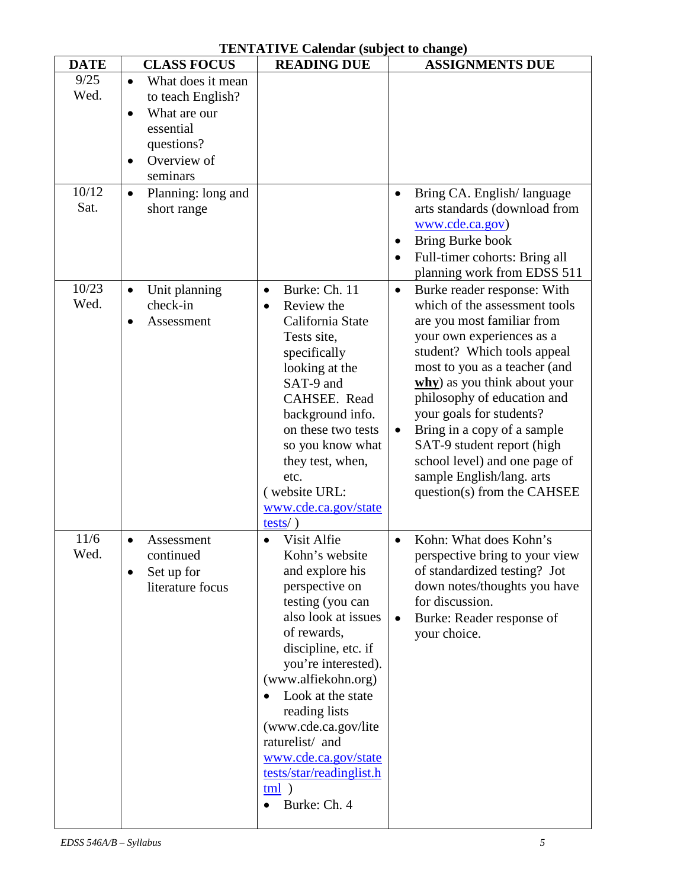## **TENTATIVE Calendar (subject to change)**

| <b>DATE</b> | <b>CLASS FOCUS</b>              | <b>READING DUE</b>         | <b>ASSIGNMENTS DUE</b>                   |
|-------------|---------------------------------|----------------------------|------------------------------------------|
| 9/25        | What does it mean<br>$\bullet$  |                            |                                          |
| Wed.        | to teach English?               |                            |                                          |
|             | What are our<br>$\bullet$       |                            |                                          |
|             | essential                       |                            |                                          |
|             | questions?                      |                            |                                          |
|             | Overview of                     |                            |                                          |
|             | seminars                        |                            |                                          |
| 10/12       | Planning: long and<br>$\bullet$ |                            | Bring CA. English/language<br>$\bullet$  |
| Sat.        | short range                     |                            | arts standards (download from            |
|             |                                 |                            | www.cde.ca.gov)                          |
|             |                                 |                            | Bring Burke book                         |
|             |                                 |                            | Full-timer cohorts: Bring all            |
|             |                                 |                            | planning work from EDSS 511              |
| 10/23       | Unit planning<br>$\bullet$      | Burke: Ch. 11<br>$\bullet$ | Burke reader response: With<br>$\bullet$ |
| Wed.        | check-in                        | Review the<br>$\bullet$    | which of the assessment tools            |
|             | Assessment<br>$\bullet$         | California State           | are you most familiar from               |
|             |                                 | Tests site,                | your own experiences as a                |
|             |                                 | specifically               | student? Which tools appeal              |
|             |                                 | looking at the             | most to you as a teacher (and            |
|             |                                 | SAT-9 and                  | why) as you think about your             |
|             |                                 | CAHSEE. Read               | philosophy of education and              |
|             |                                 | background info.           | your goals for students?                 |
|             |                                 | on these two tests         | Bring in a copy of a sample              |
|             |                                 | so you know what           | SAT-9 student report (high               |
|             |                                 | they test, when,           | school level) and one page of            |
|             |                                 | etc.                       | sample English/lang. arts                |
|             |                                 | (website URL:              | question(s) from the CAHSEE              |
|             |                                 | www.cde.ca.gov/state       |                                          |
|             |                                 | $tests/$ )                 |                                          |
| 11/6        | Assessment<br>$\bullet$         | Visit Alfie                | Kohn: What does Kohn's                   |
| Wed.        | continued                       | Kohn's website             | perspective bring to your view           |
|             | Set up for                      | and explore his            | of standardized testing? Jot             |
|             | literature focus                | perspective on             | down notes/thoughts you have             |
|             |                                 | testing (you can           | for discussion.                          |
|             |                                 | also look at issues        | Burke: Reader response of                |
|             |                                 | of rewards,                | your choice.                             |
|             |                                 | discipline, etc. if        |                                          |
|             |                                 | you're interested).        |                                          |
|             |                                 | (www.alfiekohn.org)        |                                          |
|             |                                 | Look at the state          |                                          |
|             |                                 | reading lists              |                                          |
|             |                                 | (www.cde.ca.gov/lite       |                                          |
|             |                                 | raturelist/ and            |                                          |
|             |                                 | www.cde.ca.gov/state       |                                          |
|             |                                 | tests/star/readinglist.h   |                                          |
|             |                                 | $tml$ )                    |                                          |
|             |                                 | Burke: Ch. 4               |                                          |
|             |                                 |                            |                                          |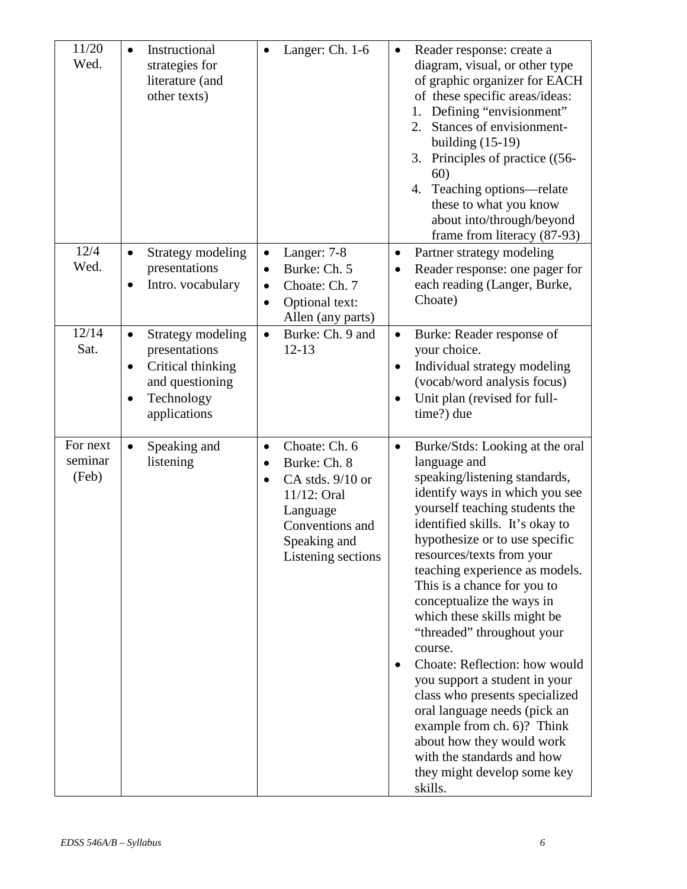| 11/20<br>Wed.                | Instructional<br>$\bullet$<br>strategies for<br>literature (and<br>other texts)                                                                 | Langer: Ch. 1-6<br>$\bullet$                                                                                                                                                 | Reader response: create a<br>$\bullet$<br>diagram, visual, or other type<br>of graphic organizer for EACH<br>of these specific areas/ideas:<br>Defining "envisionment"<br>1.<br>Stances of envisionment-<br>2.<br>building $(15-19)$<br>3. Principles of practice ((56-<br>60)<br>Teaching options—relate<br>4.<br>these to what you know<br>about into/through/beyond<br>frame from literacy (87-93)                                                                                                                                                                                                                                                                                                            |
|------------------------------|-------------------------------------------------------------------------------------------------------------------------------------------------|------------------------------------------------------------------------------------------------------------------------------------------------------------------------------|------------------------------------------------------------------------------------------------------------------------------------------------------------------------------------------------------------------------------------------------------------------------------------------------------------------------------------------------------------------------------------------------------------------------------------------------------------------------------------------------------------------------------------------------------------------------------------------------------------------------------------------------------------------------------------------------------------------|
| 12/4<br>Wed.                 | Strategy modeling<br>$\bullet$<br>presentations<br>Intro. vocabulary<br>$\bullet$                                                               | Langer: 7-8<br>$\bullet$<br>Burke: Ch. 5<br>$\bullet$<br>Choate: Ch. 7<br>$\bullet$<br>Optional text:<br>Allen (any parts)                                                   | Partner strategy modeling<br>$\bullet$<br>Reader response: one pager for<br>$\bullet$<br>each reading (Langer, Burke,<br>Choate)                                                                                                                                                                                                                                                                                                                                                                                                                                                                                                                                                                                 |
| 12/14<br>Sat.                | Strategy modeling<br>$\bullet$<br>presentations<br>Critical thinking<br>$\bullet$<br>and questioning<br>Technology<br>$\bullet$<br>applications | Burke: Ch. 9 and<br>$\bullet$<br>$12 - 13$                                                                                                                                   | Burke: Reader response of<br>$\bullet$<br>your choice.<br>Individual strategy modeling<br>$\bullet$<br>(vocab/word analysis focus)<br>Unit plan (revised for full-<br>$\bullet$<br>time?) due                                                                                                                                                                                                                                                                                                                                                                                                                                                                                                                    |
| For next<br>seminar<br>(Feb) | Speaking and<br>$\bullet$<br>listening                                                                                                          | Choate: Ch. 6<br>$\bullet$<br>Burke: Ch. 8<br>$\bullet$<br>CA stds. 9/10 or<br>$\bullet$<br>11/12: Oral<br>Language<br>Conventions and<br>Speaking and<br>Listening sections | Burke/Stds: Looking at the oral<br>$\bullet$<br>language and<br>speaking/listening standards,<br>identify ways in which you see<br>yourself teaching students the<br>identified skills. It's okay to<br>hypothesize or to use specific<br>resources/texts from your<br>teaching experience as models.<br>This is a chance for you to<br>conceptualize the ways in<br>which these skills might be<br>"threaded" throughout your<br>course.<br>Choate: Reflection: how would<br>you support a student in your<br>class who presents specialized<br>oral language needs (pick an<br>example from ch. 6)? Think<br>about how they would work<br>with the standards and how<br>they might develop some key<br>skills. |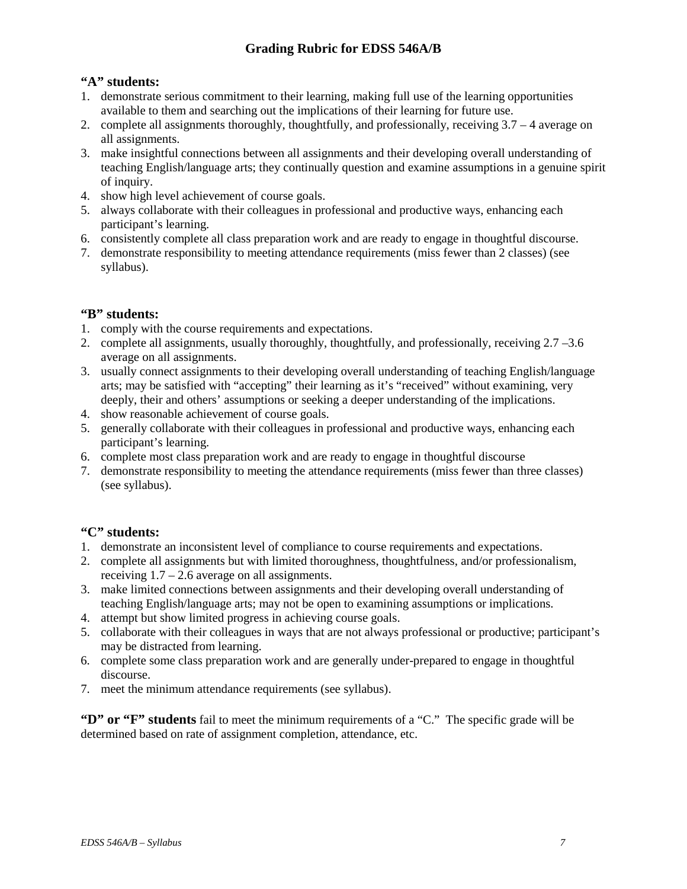## **Grading Rubric for EDSS 546A/B**

## **"A" students:**

- 1. demonstrate serious commitment to their learning, making full use of the learning opportunities available to them and searching out the implications of their learning for future use.
- 2. complete all assignments thoroughly, thoughtfully, and professionally, receiving 3.7 4 average on all assignments.
- 3. make insightful connections between all assignments and their developing overall understanding of teaching English/language arts; they continually question and examine assumptions in a genuine spirit of inquiry.
- 4. show high level achievement of course goals.
- 5. always collaborate with their colleagues in professional and productive ways, enhancing each participant's learning.
- 6. consistently complete all class preparation work and are ready to engage in thoughtful discourse.
- 7. demonstrate responsibility to meeting attendance requirements (miss fewer than 2 classes) (see syllabus).

## **"B" students:**

- 1. comply with the course requirements and expectations.
- 2. complete all assignments, usually thoroughly, thoughtfully, and professionally, receiving 2.7 –3.6 average on all assignments.
- 3. usually connect assignments to their developing overall understanding of teaching English/language arts; may be satisfied with "accepting" their learning as it's "received" without examining, very deeply, their and others' assumptions or seeking a deeper understanding of the implications.
- 4. show reasonable achievement of course goals.
- 5. generally collaborate with their colleagues in professional and productive ways, enhancing each participant's learning.
- 6. complete most class preparation work and are ready to engage in thoughtful discourse
- 7. demonstrate responsibility to meeting the attendance requirements (miss fewer than three classes) (see syllabus).

## **"C" students:**

- 1. demonstrate an inconsistent level of compliance to course requirements and expectations.
- 2. complete all assignments but with limited thoroughness, thoughtfulness, and/or professionalism, receiving  $1.7 - 2.6$  average on all assignments.
- 3. make limited connections between assignments and their developing overall understanding of teaching English/language arts; may not be open to examining assumptions or implications.
- 4. attempt but show limited progress in achieving course goals.
- 5. collaborate with their colleagues in ways that are not always professional or productive; participant's may be distracted from learning.
- 6. complete some class preparation work and are generally under-prepared to engage in thoughtful discourse.
- 7. meet the minimum attendance requirements (see syllabus).

**"D" or "F" students** fail to meet the minimum requirements of a "C." The specific grade will be determined based on rate of assignment completion, attendance, etc.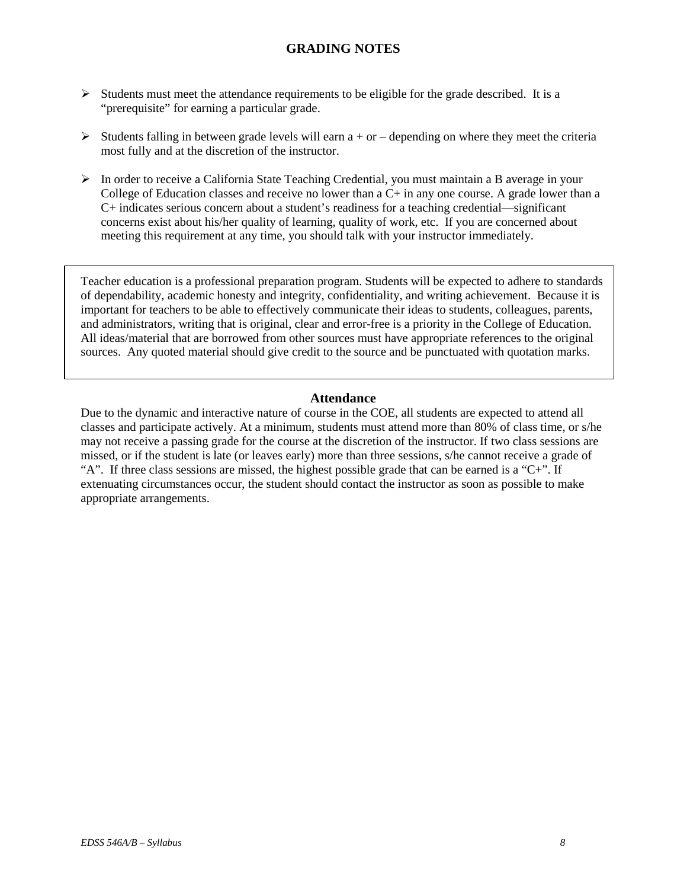## **GRADING NOTES**

- $\triangleright$  Students must meet the attendance requirements to be eligible for the grade described. It is a "prerequisite" for earning a particular grade.
- $\triangleright$  Students falling in between grade levels will earn a + or depending on where they meet the criteria most fully and at the discretion of the instructor.
- In order to receive a California State Teaching Credential, you must maintain a B average in your College of Education classes and receive no lower than a  $C<sub>+</sub>$  in any one course. A grade lower than a C+ indicates serious concern about a student's readiness for a teaching credential—significant concerns exist about his/her quality of learning, quality of work, etc. If you are concerned about meeting this requirement at any time, you should talk with your instructor immediately.

Teacher education is a professional preparation program. Students will be expected to adhere to standards of dependability, academic honesty and integrity, confidentiality, and writing achievement. Because it is important for teachers to be able to effectively communicate their ideas to students, colleagues, parents, and administrators, writing that is original, clear and error-free is a priority in the College of Education. All ideas/material that are borrowed from other sources must have appropriate references to the original sources. Any quoted material should give credit to the source and be punctuated with quotation marks.

#### **Attendance**

Due to the dynamic and interactive nature of course in the COE, all students are expected to attend all classes and participate actively. At a minimum, students must attend more than 80% of class time, or s/he may not receive a passing grade for the course at the discretion of the instructor. If two class sessions are missed, or if the student is late (or leaves early) more than three sessions, s/he cannot receive a grade of "A". If three class sessions are missed, the highest possible grade that can be earned is a " $C+$ ". If extenuating circumstances occur, the student should contact the instructor as soon as possible to make appropriate arrangements.